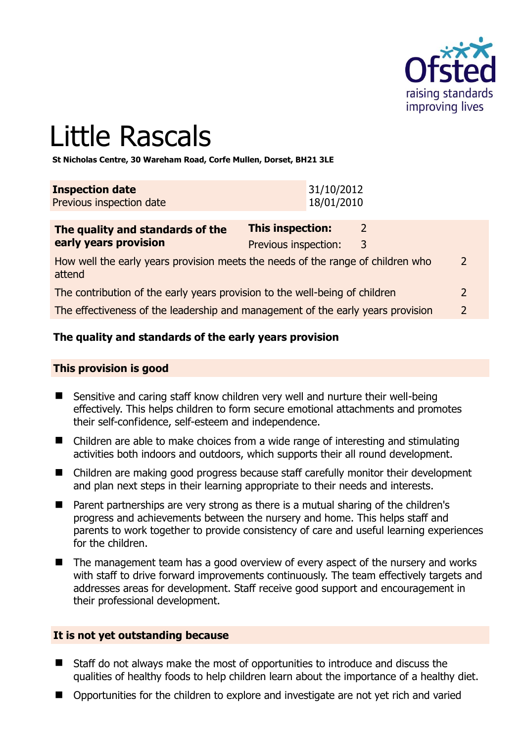

# Little Rascals

**St Nicholas Centre, 30 Wareham Road, Corfe Mullen, Dorset, BH21 3LE** 

| <b>Inspection date</b>   | 31/10/2012 |
|--------------------------|------------|
| Previous inspection date | 18/01/2010 |

| The quality and standards of the                                                          | This inspection:     |   |                |
|-------------------------------------------------------------------------------------------|----------------------|---|----------------|
| early years provision                                                                     | Previous inspection: | 3 |                |
| How well the early years provision meets the needs of the range of children who<br>attend |                      |   | $\overline{2}$ |
| The contribution of the early years provision to the well-being of children               |                      |   | $\mathcal{P}$  |
| The effectiveness of the leadership and management of the early years provision           |                      |   |                |

# **The quality and standards of the early years provision**

#### **This provision is good**

- Sensitive and caring staff know children very well and nurture their well-being effectively. This helps children to form secure emotional attachments and promotes their self-confidence, self-esteem and independence.
- Children are able to make choices from a wide range of interesting and stimulating activities both indoors and outdoors, which supports their all round development.
- Children are making good progress because staff carefully monitor their development and plan next steps in their learning appropriate to their needs and interests.
- Parent partnerships are very strong as there is a mutual sharing of the children's progress and achievements between the nursery and home. This helps staff and parents to work together to provide consistency of care and useful learning experiences for the children.
- The management team has a good overview of every aspect of the nursery and works with staff to drive forward improvements continuously. The team effectively targets and addresses areas for development. Staff receive good support and encouragement in their professional development.

#### **It is not yet outstanding because**

- Staff do not always make the most of opportunities to introduce and discuss the qualities of healthy foods to help children learn about the importance of a healthy diet.
- Opportunities for the children to explore and investigate are not yet rich and varied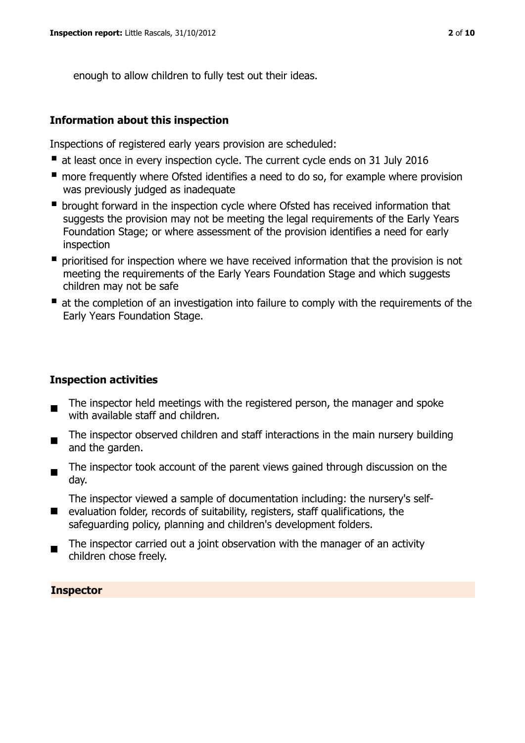enough to allow children to fully test out their ideas.

#### **Information about this inspection**

Inspections of registered early years provision are scheduled:

- at least once in every inspection cycle. The current cycle ends on 31 July 2016
- **n** more frequently where Ofsted identifies a need to do so, for example where provision was previously judged as inadequate
- **•** brought forward in the inspection cycle where Ofsted has received information that suggests the provision may not be meeting the legal requirements of the Early Years Foundation Stage; or where assessment of the provision identifies a need for early inspection
- **P** prioritised for inspection where we have received information that the provision is not meeting the requirements of the Early Years Foundation Stage and which suggests children may not be safe
- at the completion of an investigation into failure to comply with the requirements of the Early Years Foundation Stage.

#### **Inspection activities**

- The inspector held meetings with the registered person, the manager and spoke with available staff and children.
- $\blacksquare$ The inspector observed children and staff interactions in the main nursery building and the garden.
- $\blacksquare$ The inspector took account of the parent views gained through discussion on the day.

The inspector viewed a sample of documentation including: the nursery's self-

- evaluation folder, records of suitability, registers, staff qualifications, the safeguarding policy, planning and children's development folders.
- The inspector carried out a joint observation with the manager of an activity children chose freely.

#### **Inspector**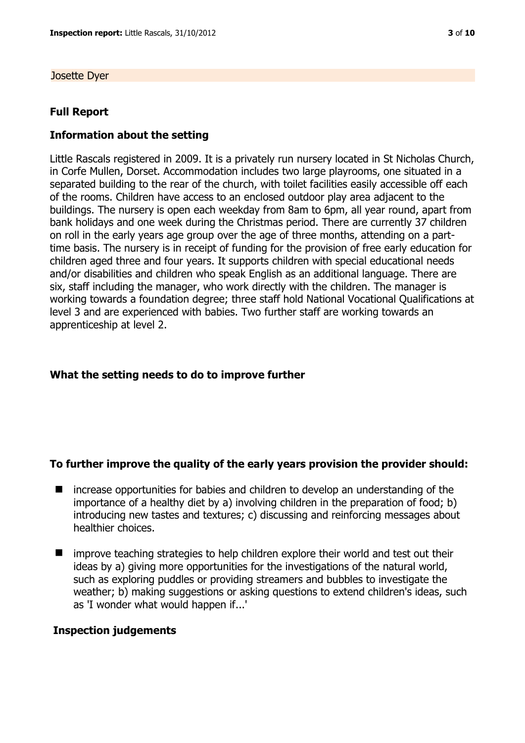Josette Dyer

#### **Full Report**

## **Information about the setting**

Little Rascals registered in 2009. It is a privately run nursery located in St Nicholas Church, in Corfe Mullen, Dorset. Accommodation includes two large playrooms, one situated in a separated building to the rear of the church, with toilet facilities easily accessible off each of the rooms. Children have access to an enclosed outdoor play area adjacent to the buildings. The nursery is open each weekday from 8am to 6pm, all year round, apart from bank holidays and one week during the Christmas period. There are currently 37 children on roll in the early years age group over the age of three months, attending on a parttime basis. The nursery is in receipt of funding for the provision of free early education for children aged three and four years. It supports children with special educational needs and/or disabilities and children who speak English as an additional language. There are six, staff including the manager, who work directly with the children. The manager is working towards a foundation degree; three staff hold National Vocational Qualifications at level 3 and are experienced with babies. Two further staff are working towards an apprenticeship at level 2.

## **What the setting needs to do to improve further**

#### **To further improve the quality of the early years provision the provider should:**

- increase opportunities for babies and children to develop an understanding of the importance of a healthy diet by a) involving children in the preparation of food; b) introducing new tastes and textures; c) discussing and reinforcing messages about healthier choices.
- **I** improve teaching strategies to help children explore their world and test out their ideas by a) giving more opportunities for the investigations of the natural world, such as exploring puddles or providing streamers and bubbles to investigate the weather; b) making suggestions or asking questions to extend children's ideas, such as 'I wonder what would happen if...'

#### **Inspection judgements**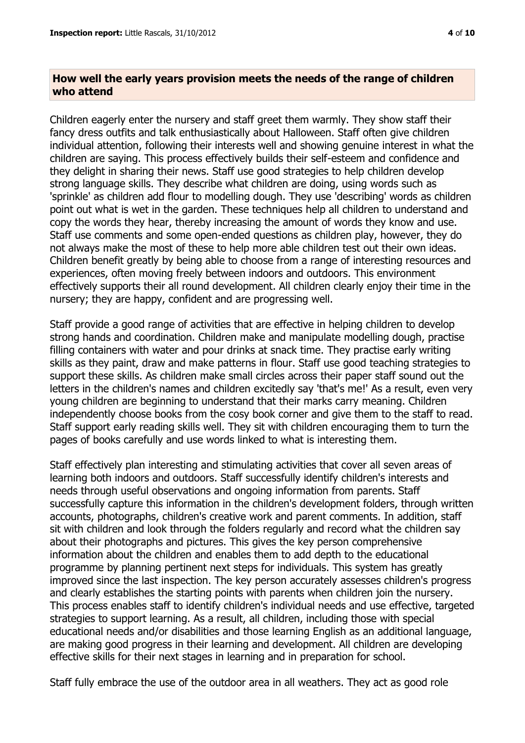## **How well the early years provision meets the needs of the range of children who attend**

Children eagerly enter the nursery and staff greet them warmly. They show staff their fancy dress outfits and talk enthusiastically about Halloween. Staff often give children individual attention, following their interests well and showing genuine interest in what the children are saying. This process effectively builds their self-esteem and confidence and they delight in sharing their news. Staff use good strategies to help children develop strong language skills. They describe what children are doing, using words such as 'sprinkle' as children add flour to modelling dough. They use 'describing' words as children point out what is wet in the garden. These techniques help all children to understand and copy the words they hear, thereby increasing the amount of words they know and use. Staff use comments and some open-ended questions as children play, however, they do not always make the most of these to help more able children test out their own ideas. Children benefit greatly by being able to choose from a range of interesting resources and experiences, often moving freely between indoors and outdoors. This environment effectively supports their all round development. All children clearly enjoy their time in the nursery; they are happy, confident and are progressing well.

Staff provide a good range of activities that are effective in helping children to develop strong hands and coordination. Children make and manipulate modelling dough, practise filling containers with water and pour drinks at snack time. They practise early writing skills as they paint, draw and make patterns in flour. Staff use good teaching strategies to support these skills. As children make small circles across their paper staff sound out the letters in the children's names and children excitedly say 'that's me!' As a result, even very young children are beginning to understand that their marks carry meaning. Children independently choose books from the cosy book corner and give them to the staff to read. Staff support early reading skills well. They sit with children encouraging them to turn the pages of books carefully and use words linked to what is interesting them.

Staff effectively plan interesting and stimulating activities that cover all seven areas of learning both indoors and outdoors. Staff successfully identify children's interests and needs through useful observations and ongoing information from parents. Staff successfully capture this information in the children's development folders, through written accounts, photographs, children's creative work and parent comments. In addition, staff sit with children and look through the folders regularly and record what the children say about their photographs and pictures. This gives the key person comprehensive information about the children and enables them to add depth to the educational programme by planning pertinent next steps for individuals. This system has greatly improved since the last inspection. The key person accurately assesses children's progress and clearly establishes the starting points with parents when children join the nursery. This process enables staff to identify children's individual needs and use effective, targeted strategies to support learning. As a result, all children, including those with special educational needs and/or disabilities and those learning English as an additional language, are making good progress in their learning and development. All children are developing effective skills for their next stages in learning and in preparation for school.

Staff fully embrace the use of the outdoor area in all weathers. They act as good role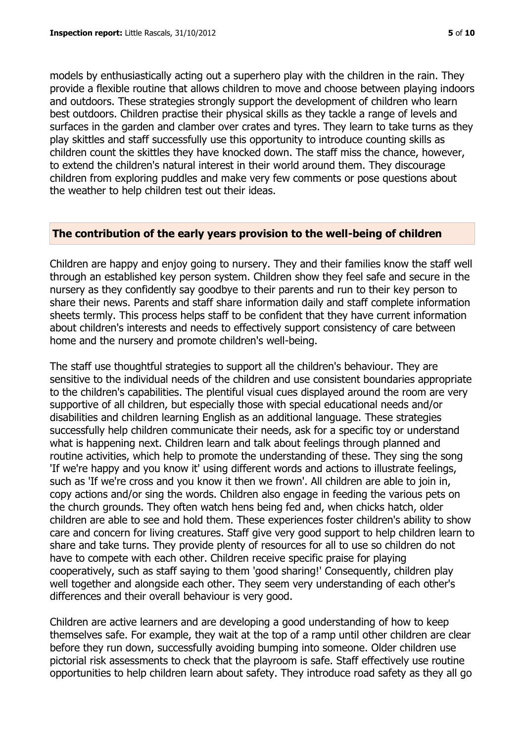models by enthusiastically acting out a superhero play with the children in the rain. They provide a flexible routine that allows children to move and choose between playing indoors and outdoors. These strategies strongly support the development of children who learn best outdoors. Children practise their physical skills as they tackle a range of levels and surfaces in the garden and clamber over crates and tyres. They learn to take turns as they play skittles and staff successfully use this opportunity to introduce counting skills as children count the skittles they have knocked down. The staff miss the chance, however, to extend the children's natural interest in their world around them. They discourage children from exploring puddles and make very few comments or pose questions about the weather to help children test out their ideas.

#### **The contribution of the early years provision to the well-being of children**

Children are happy and enjoy going to nursery. They and their families know the staff well through an established key person system. Children show they feel safe and secure in the nursery as they confidently say goodbye to their parents and run to their key person to share their news. Parents and staff share information daily and staff complete information sheets termly. This process helps staff to be confident that they have current information about children's interests and needs to effectively support consistency of care between home and the nursery and promote children's well-being.

The staff use thoughtful strategies to support all the children's behaviour. They are sensitive to the individual needs of the children and use consistent boundaries appropriate to the children's capabilities. The plentiful visual cues displayed around the room are very supportive of all children, but especially those with special educational needs and/or disabilities and children learning English as an additional language. These strategies successfully help children communicate their needs, ask for a specific toy or understand what is happening next. Children learn and talk about feelings through planned and routine activities, which help to promote the understanding of these. They sing the song 'If we're happy and you know it' using different words and actions to illustrate feelings, such as 'If we're cross and you know it then we frown'. All children are able to join in, copy actions and/or sing the words. Children also engage in feeding the various pets on the church grounds. They often watch hens being fed and, when chicks hatch, older children are able to see and hold them. These experiences foster children's ability to show care and concern for living creatures. Staff give very good support to help children learn to share and take turns. They provide plenty of resources for all to use so children do not have to compete with each other. Children receive specific praise for playing cooperatively, such as staff saying to them 'good sharing!' Consequently, children play well together and alongside each other. They seem very understanding of each other's differences and their overall behaviour is very good.

Children are active learners and are developing a good understanding of how to keep themselves safe. For example, they wait at the top of a ramp until other children are clear before they run down, successfully avoiding bumping into someone. Older children use pictorial risk assessments to check that the playroom is safe. Staff effectively use routine opportunities to help children learn about safety. They introduce road safety as they all go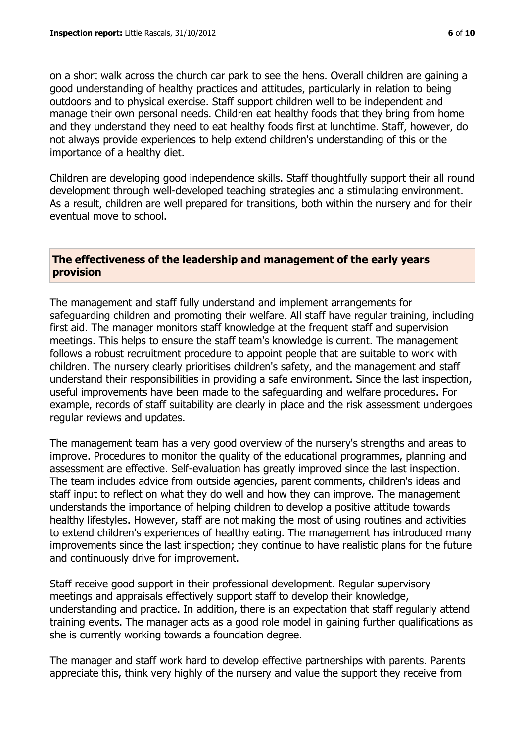on a short walk across the church car park to see the hens. Overall children are gaining a good understanding of healthy practices and attitudes, particularly in relation to being outdoors and to physical exercise. Staff support children well to be independent and manage their own personal needs. Children eat healthy foods that they bring from home and they understand they need to eat healthy foods first at lunchtime. Staff, however, do not always provide experiences to help extend children's understanding of this or the importance of a healthy diet.

Children are developing good independence skills. Staff thoughtfully support their all round development through well-developed teaching strategies and a stimulating environment. As a result, children are well prepared for transitions, both within the nursery and for their eventual move to school.

# **The effectiveness of the leadership and management of the early years provision**

The management and staff fully understand and implement arrangements for safeguarding children and promoting their welfare. All staff have regular training, including first aid. The manager monitors staff knowledge at the frequent staff and supervision meetings. This helps to ensure the staff team's knowledge is current. The management follows a robust recruitment procedure to appoint people that are suitable to work with children. The nursery clearly prioritises children's safety, and the management and staff understand their responsibilities in providing a safe environment. Since the last inspection, useful improvements have been made to the safeguarding and welfare procedures. For example, records of staff suitability are clearly in place and the risk assessment undergoes regular reviews and updates.

The management team has a very good overview of the nursery's strengths and areas to improve. Procedures to monitor the quality of the educational programmes, planning and assessment are effective. Self-evaluation has greatly improved since the last inspection. The team includes advice from outside agencies, parent comments, children's ideas and staff input to reflect on what they do well and how they can improve. The management understands the importance of helping children to develop a positive attitude towards healthy lifestyles. However, staff are not making the most of using routines and activities to extend children's experiences of healthy eating. The management has introduced many improvements since the last inspection; they continue to have realistic plans for the future and continuously drive for improvement.

Staff receive good support in their professional development. Regular supervisory meetings and appraisals effectively support staff to develop their knowledge, understanding and practice. In addition, there is an expectation that staff regularly attend training events. The manager acts as a good role model in gaining further qualifications as she is currently working towards a foundation degree.

The manager and staff work hard to develop effective partnerships with parents. Parents appreciate this, think very highly of the nursery and value the support they receive from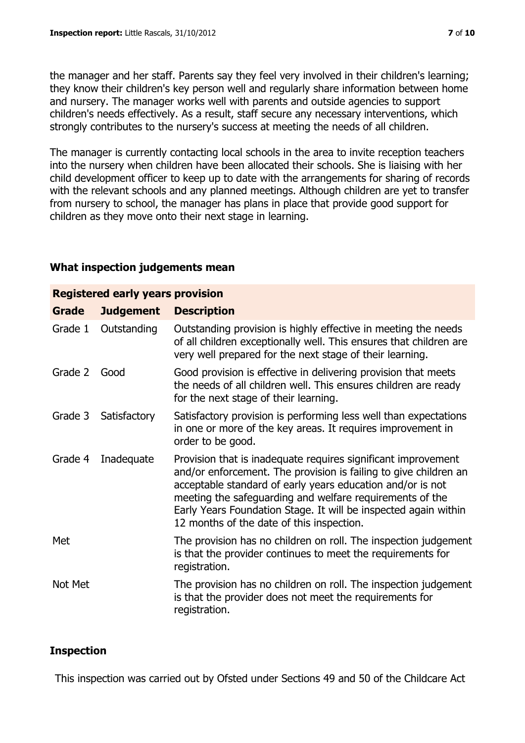the manager and her staff. Parents say they feel very involved in their children's learning; they know their children's key person well and regularly share information between home and nursery. The manager works well with parents and outside agencies to support children's needs effectively. As a result, staff secure any necessary interventions, which strongly contributes to the nursery's success at meeting the needs of all children.

The manager is currently contacting local schools in the area to invite reception teachers into the nursery when children have been allocated their schools. She is liaising with her child development officer to keep up to date with the arrangements for sharing of records with the relevant schools and any planned meetings. Although children are yet to transfer from nursery to school, the manager has plans in place that provide good support for children as they move onto their next stage in learning.

# **What inspection judgements mean**

| <b>Registered early years provision</b> |                  |                                                                                                                                                                                                                                                                                                                                                                             |  |  |
|-----------------------------------------|------------------|-----------------------------------------------------------------------------------------------------------------------------------------------------------------------------------------------------------------------------------------------------------------------------------------------------------------------------------------------------------------------------|--|--|
| <b>Grade</b>                            | <b>Judgement</b> | <b>Description</b>                                                                                                                                                                                                                                                                                                                                                          |  |  |
| Grade 1                                 | Outstanding      | Outstanding provision is highly effective in meeting the needs<br>of all children exceptionally well. This ensures that children are<br>very well prepared for the next stage of their learning.                                                                                                                                                                            |  |  |
| Grade 2                                 | Good             | Good provision is effective in delivering provision that meets<br>the needs of all children well. This ensures children are ready<br>for the next stage of their learning.                                                                                                                                                                                                  |  |  |
| Grade 3                                 | Satisfactory     | Satisfactory provision is performing less well than expectations<br>in one or more of the key areas. It requires improvement in<br>order to be good.                                                                                                                                                                                                                        |  |  |
| Grade 4                                 | Inadequate       | Provision that is inadequate requires significant improvement<br>and/or enforcement. The provision is failing to give children an<br>acceptable standard of early years education and/or is not<br>meeting the safeguarding and welfare requirements of the<br>Early Years Foundation Stage. It will be inspected again within<br>12 months of the date of this inspection. |  |  |
| Met                                     |                  | The provision has no children on roll. The inspection judgement<br>is that the provider continues to meet the requirements for<br>registration.                                                                                                                                                                                                                             |  |  |
| Not Met                                 |                  | The provision has no children on roll. The inspection judgement<br>is that the provider does not meet the requirements for<br>registration.                                                                                                                                                                                                                                 |  |  |

# **Inspection**

This inspection was carried out by Ofsted under Sections 49 and 50 of the Childcare Act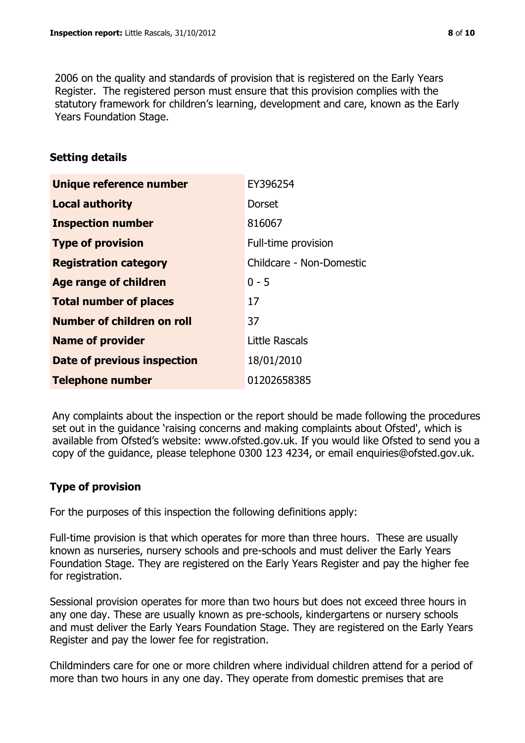2006 on the quality and standards of provision that is registered on the Early Years Register. The registered person must ensure that this provision complies with the statutory framework for children's learning, development and care, known as the Early Years Foundation Stage.

# **Setting details**

| Unique reference number       | EY396254                 |
|-------------------------------|--------------------------|
| <b>Local authority</b>        | Dorset                   |
| <b>Inspection number</b>      | 816067                   |
| <b>Type of provision</b>      | Full-time provision      |
| <b>Registration category</b>  | Childcare - Non-Domestic |
| <b>Age range of children</b>  | $0 - 5$                  |
| <b>Total number of places</b> | 17                       |
| Number of children on roll    | 37                       |
| <b>Name of provider</b>       | Little Rascals           |
| Date of previous inspection   | 18/01/2010               |
| <b>Telephone number</b>       | 01202658385              |

Any complaints about the inspection or the report should be made following the procedures set out in the guidance 'raising concerns and making complaints about Ofsted', which is available from Ofsted's website: www.ofsted.gov.uk. If you would like Ofsted to send you a copy of the guidance, please telephone 0300 123 4234, or email enquiries@ofsted.gov.uk.

# **Type of provision**

For the purposes of this inspection the following definitions apply:

Full-time provision is that which operates for more than three hours. These are usually known as nurseries, nursery schools and pre-schools and must deliver the Early Years Foundation Stage. They are registered on the Early Years Register and pay the higher fee for registration.

Sessional provision operates for more than two hours but does not exceed three hours in any one day. These are usually known as pre-schools, kindergartens or nursery schools and must deliver the Early Years Foundation Stage. They are registered on the Early Years Register and pay the lower fee for registration.

Childminders care for one or more children where individual children attend for a period of more than two hours in any one day. They operate from domestic premises that are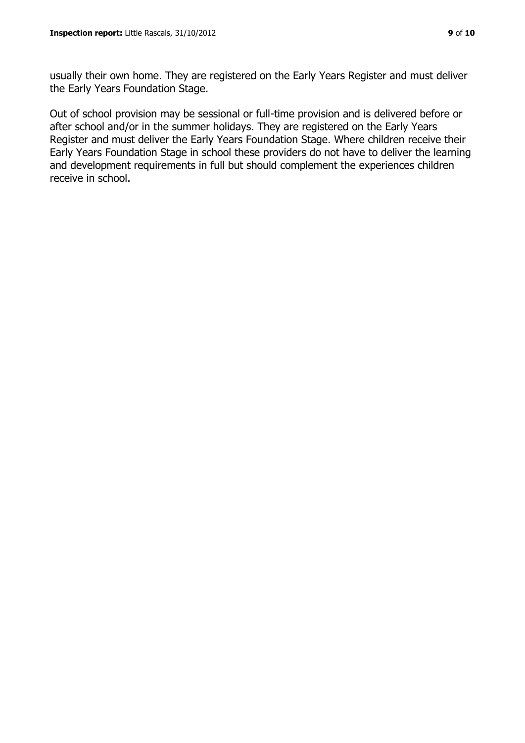usually their own home. They are registered on the Early Years Register and must deliver the Early Years Foundation Stage.

Out of school provision may be sessional or full-time provision and is delivered before or after school and/or in the summer holidays. They are registered on the Early Years Register and must deliver the Early Years Foundation Stage. Where children receive their Early Years Foundation Stage in school these providers do not have to deliver the learning and development requirements in full but should complement the experiences children receive in school.